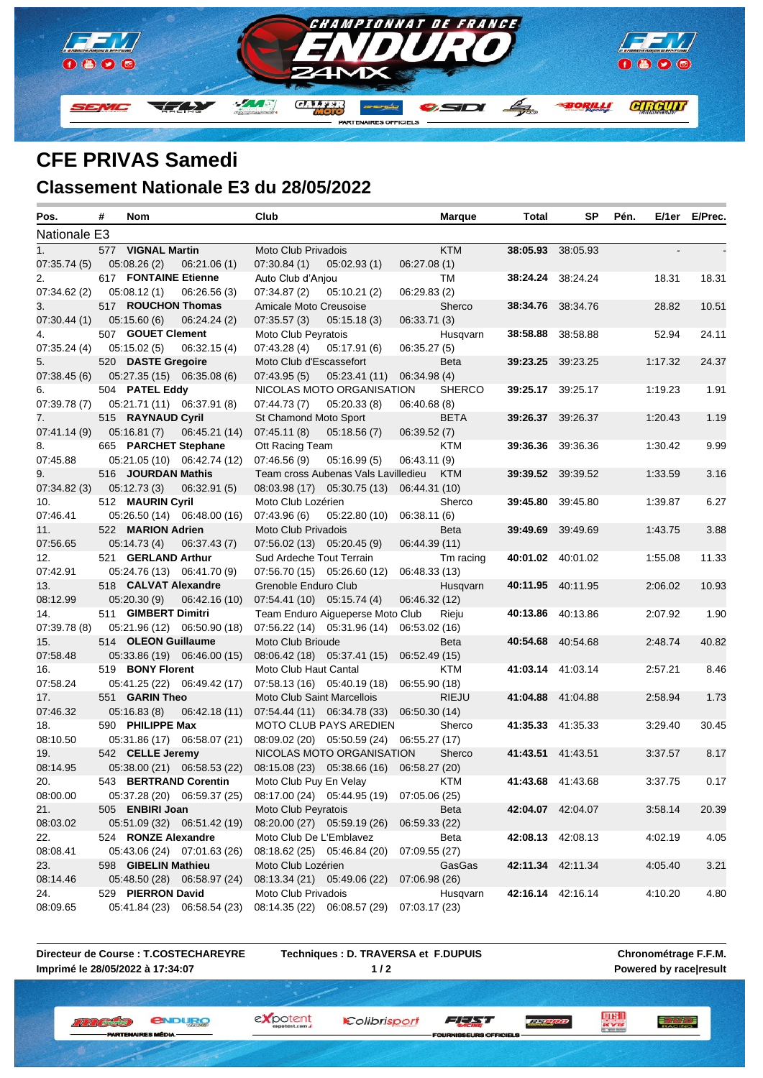

## **CFE PRIVAS Samedi Classement Nationale E3 du 28/05/2022**

| Pos.                      | # | Nom                                     |               | Club                        |                                                  |               | <b>Marque</b> | Total                    | SP                       | Pén.    |       | E/1er E/Prec. |
|---------------------------|---|-----------------------------------------|---------------|-----------------------------|--------------------------------------------------|---------------|---------------|--------------------------|--------------------------|---------|-------|---------------|
| Nationale E3              |   |                                         |               |                             |                                                  |               |               |                          |                          |         |       |               |
| 1.                        |   | 577 VIGNAL Martin                       |               | Moto Club Privadois         |                                                  |               | <b>KTM</b>    | 38:05.93 38:05.93        |                          |         |       |               |
| 07:35.74 (5)              |   | 05:08.26(2)                             | 06:21.06(1)   | 07:30.84(1)                 | 05:02.93(1)                                      | 06:27.08(1)   |               |                          |                          |         |       |               |
| 2.                        |   | 617 FONTAINE Etienne                    |               | Auto Club d'Anjou           |                                                  |               | TM            | 38:24.24 38:24.24        |                          |         | 18.31 | 18.31         |
| 07:34.62 (2)              |   | 05:08.12(1)                             | 06:26.56(3)   | 07:34.87(2)                 | 05:10.21(2)                                      | 06:29.83(2)   |               |                          |                          |         |       |               |
| 3.                        |   | 517 ROUCHON Thomas                      |               | Amicale Moto Creusoise      |                                                  |               | Sherco        | 38:34.76 38:34.76        |                          |         | 28.82 | 10.51         |
| 07:30.44 (1) 05:15.60 (6) |   |                                         | 06:24.24(2)   | 07:35.57(3)                 | 05:15.18(3)                                      | 06:33.71(3)   |               |                          |                          |         |       |               |
| 4.                        |   | 507 GOUET Clement                       |               | Moto Club Peyratois         |                                                  |               | Husqvarn      | 38:58.88 38:58.88        |                          |         | 52.94 | 24.11         |
| 07:35.24(4)               |   | 05:15.02 (5)                            | 06:32.15(4)   | 07:43.28 (4)                | 05:17.91 (6)                                     | 06:35.27(5)   |               |                          |                          |         |       |               |
| 5.                        |   | 520 DASTE Gregoire                      |               | Moto Club d'Escassefort     |                                                  |               | Beta          | 39:23.25 39:23.25        |                          | 1:17.32 |       | 24.37         |
| 07:38.45(6)               |   | 05:27.35 (15) 06:35.08 (6)              |               | 07:43.95(5)                 | 05:23.41 (11)                                    | 06:34.98 (4)  |               |                          |                          |         |       |               |
| 6.                        |   | 504 PATEL Eddy                          |               |                             | NICOLAS MOTO ORGANISATION                        |               | <b>SHERCO</b> |                          | <b>39:25.17</b> 39:25.17 | 1:19.23 |       | 1.91          |
|                           |   | 07:39.78 (7) 05:21.71 (11) 06:37.91 (8) |               | $07:44.73(7)$ $05:20.33(8)$ |                                                  | 06:40.68(8)   |               |                          |                          |         |       |               |
| 7.                        |   | 515 RAYNAUD Cyril                       |               | St Chamond Moto Sport       |                                                  |               | <b>BETA</b>   | 39:26.37 39:26.37        |                          | 1:20.43 |       | 1.19          |
| 07:41.14 (9)              |   | 05:16.81 (7)                            | 06:45.21 (14) | 07:45.11(8)                 | 05:18.56 (7)                                     | 06:39.52(7)   |               |                          |                          |         |       |               |
| 8.                        |   | 665 PARCHET Stephane                    |               | Ott Racing Team             |                                                  |               | KTM           | <b>39:36.36</b> 39:36.36 |                          | 1:30.42 |       | 9.99          |
| 07:45.88                  |   | 05:21.05 (10) 06:42.74 (12)             |               | 07:46.56(9)                 | 05:16.99(5)                                      | 06:43.11(9)   |               |                          |                          |         |       |               |
| 9.                        |   | 516 JOURDAN Mathis                      |               |                             | Team cross Aubenas Vals Lavilledieu              |               | <b>KTM</b>    | 39:39.52 39:39.52        |                          | 1:33.59 |       | 3.16          |
| 07:34.82 (3)              |   | 05:12.73 (3)                            | 06:32.91(5)   |                             | 08:03.98 (17) 05:30.75 (13) 06:44.31 (10)        |               |               |                          |                          |         |       |               |
| 10.                       |   | 512 MAURIN Cyril                        |               | Moto Club Lozérien          |                                                  |               | Sherco        | <b>39:45.80</b> 39:45.80 |                          | 1:39.87 |       | 6.27          |
| 07:46.41                  |   | 05:26.50 (14) 06:48.00 (16)             |               |                             | $07:43.96(6)$ $05:22.80(10)$                     | 06:38.11 (6)  |               |                          |                          |         |       |               |
| 11.                       |   | 522 MARION Adrien                       |               | Moto Club Privadois         |                                                  |               | Beta          | <b>39:49.69</b> 39:49.69 |                          | 1:43.75 |       | 3.88          |
| 07:56.65                  |   | 05:14.73 (4)                            | 06:37.43(7)   | 07:56.02 (13) 05:20.45 (9)  |                                                  | 06:44.39 (11) |               |                          |                          |         |       |               |
| 12.                       |   | 521 GERLAND Arthur                      |               | Sud Ardeche Tout Terrain    |                                                  |               | Tm racing     | 40:01.02 40:01.02        |                          | 1:55.08 |       | 11.33         |
| 07:42.91                  |   | 05:24.76 (13) 06:41.70 (9)              |               |                             | 07:56.70 (15) 05:26.60 (12)                      | 06:48.33 (13) |               |                          |                          |         |       |               |
| 13.                       |   | 518 CALVAT Alexandre                    |               | Grenoble Enduro Club        |                                                  |               | Husqvarn      | 40:11.95 40:11.95        |                          | 2:06.02 |       | 10.93         |
| 08:12.99                  |   | 05:20.30(9)                             | 06:42.16(10)  | 07:54.41 (10) 05:15.74 (4)  |                                                  | 06:46.32 (12) |               |                          |                          |         |       |               |
| 14.                       |   | 511 GIMBERT Dimitri                     |               |                             | Team Enduro Aigueperse Moto Club                 |               | Rieju         | 40:13.86 40:13.86        |                          | 2:07.92 |       | 1.90          |
| 07:39.78(8)               |   | 05:21.96 (12) 06:50.90 (18)             |               |                             | 07:56.22 (14) 05:31.96 (14) 06:53.02 (16)        |               |               |                          |                          |         |       |               |
| 15.                       |   | 514 OLEON Guillaume                     |               | Moto Club Brioude           |                                                  |               | <b>Beta</b>   | 40:54.68 40:54.68        |                          | 2:48.74 |       | 40.82         |
| 07:58.48                  |   | 05:33.86 (19) 06:46.00 (15)             |               |                             | 08:06.42 (18) 05:37.41 (15) 06:52.49 (15)        |               |               |                          |                          |         |       |               |
| 16.                       |   | 519 BONY Florent                        |               | Moto Club Haut Cantal       |                                                  |               | KTM           |                          | 41:03.14 41:03.14        | 2:57.21 |       | 8.46          |
| 07:58.24                  |   | 05:41.25 (22) 06:49.42 (17)             |               |                             | 07:58.13 (16) 05:40.19 (18) 06:55.90 (18)        |               |               |                          |                          |         |       |               |
| 17.                       |   | 551 GARIN Theo                          |               | Moto Club Saint Marcellois  |                                                  |               | <b>RIEJU</b>  | 41:04.88 41:04.88        |                          | 2:58.94 |       | 1.73          |
| 07:46.32                  |   | 05:16.83 (8)                            | 06:42.18 (11) |                             | 07:54.44 (11) 06:34.78 (33) 06:50.30 (14)        |               |               |                          |                          |         |       |               |
| 18.                       |   | 590 PHILIPPE Max                        |               |                             | MOTO CLUB PAYS AREDIEN                           |               | Sherco        |                          | 41:35.33 41:35.33        | 3:29.40 |       | 30.45         |
| 08:10.50                  |   | 05:31.86 (17) 06:58.07 (21)             |               |                             | 08:09.02 (20) 05:50.59 (24) 06:55.27 (17)        |               |               |                          |                          |         |       |               |
| 19.                       |   | 542 CELLE Jeremy                        |               |                             | NICOLAS MOTO ORGANISATION                        |               | Sherco        | 41:43.51 41:43.51        |                          | 3:37.57 |       | 8.17          |
| 08:14.95                  |   | 05:38.00 (21) 06:58.53 (22)             |               |                             | 08:15.08 (23) 05:38.66 (16) 06:58.27 (20)        |               |               |                          |                          |         |       |               |
| 20.                       |   |                                         |               |                             | 543 BERTRAND Corentin Moto Club Puy En Velay KTM |               |               | 41:43.68 41:43.68        |                          | 3:37.75 |       | 0.17          |
| 08:00.00                  |   | 05:37.28 (20) 06:59.37 (25)             |               |                             | 08:17.00 (24) 05:44.95 (19) 07:05.06 (25)        |               |               |                          |                          |         |       |               |
| 21.                       |   | 505 ENBIRI Joan                         |               | Moto Club Peyratois         |                                                  |               | Beta          | 42:04.07 42:04.07        |                          | 3:58.14 |       | 20.39         |
| 08:03.02                  |   | 05:51.09 (32) 06:51.42 (19)             |               | 08:20.00 (27) 05:59.19 (26) |                                                  | 06:59.33 (22) |               |                          |                          |         |       |               |
| 22.                       |   | 524 RONZE Alexandre                     |               | Moto Club De L'Emblavez     |                                                  |               | Beta          | 42:08.13 42:08.13        |                          | 4:02.19 |       | 4.05          |
| 08:08.41                  |   | 05:43.06 (24) 07:01.63 (26)             |               | 08:18.62 (25) 05:46.84 (20) |                                                  | 07:09.55 (27) |               |                          |                          |         |       |               |
| 23.                       |   | 598 GIBELIN Mathieu                     |               | Moto Club Lozérien          |                                                  |               | GasGas        | 42:11.34 42:11.34        |                          | 4:05.40 |       | 3.21          |
| 08:14.46                  |   | 05:48.50 (28) 06:58.97 (24)             |               | 08:13.34 (21) 05:49.06 (22) |                                                  | 07:06.98 (26) |               |                          |                          |         |       |               |
| 24.                       |   | 529 PIERRON David                       |               | Moto Club Privadois         |                                                  |               | Husqvarn      | 42:16.14 42:16.14        |                          | 4:10.20 |       | 4.80          |
| 08:09.65                  |   | 05:41.84 (23) 06:58.54 (23)             |               | 08:14.35 (22) 06:08.57 (29) |                                                  | 07:03.17 (23) |               |                          |                          |         |       |               |

**Directeur de Course : T.COSTECHAREYRE Imprimé le 28/05/2022 à 17:34:07**

**Techniques : D. TRAVERSA et F.DUPUIS 1 / 2**

Colibrisport

expotent

**Chronométrage F.F.M. Powered by race|result**

三方學學

*<u>ENDURO</u>* **W. W. Y. Britannie (B)** ES MÉDIA

**SEURS OFFICE** 

**LUISH**<br>Acres

FEAT **TELEVISIO**